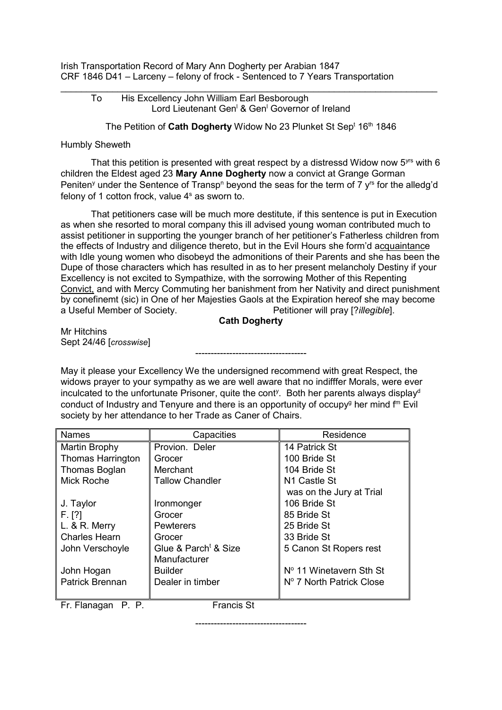Irish Transportation Record of Mary Ann Dogherty per Arabian 1847 CRF 1846 D41 – Larceny – felony of frock - Sentenced to 7 Years Transportation

## $\_$  , and the set of the set of the set of the set of the set of the set of the set of the set of the set of the set of the set of the set of the set of the set of the set of the set of the set of the set of the set of th To His Excellency John William Earl Besborough Lord Lieutenant Gen<sup>l</sup> & Gen<sup>l</sup> Governor of Ireland

The Petition of Cath Dogherty Widow No 23 Plunket St Sep<sup>t</sup> 16<sup>th</sup> 1846

## Humbly Sheweth

That this petition is presented with great respect by a distressd Widow now  $5<sup>yrs</sup>$  with 6 children the Eldest aged 23 **Mary Anne Dogherty** now a convict at Grange Gorman Peniten<sup>y</sup> under the Sentence of Transp<sup>n</sup> beyond the seas for the term of 7  $v<sup>rs</sup>$  for the alledg'd felony of 1 cotton frock, value  $4<sup>s</sup>$  as sworn to.

That petitioners case will be much more destitute, if this sentence is put in Execution as when she resorted to moral company this ill advised young woman contributed much to assist petitioner in supporting the younger branch of her petitioner's Fatherless children from the effects of Industry and diligence thereto, but in the Evil Hours she form'd acquaintance with Idle young women who disobeyd the admonitions of their Parents and she has been the Dupe of those characters which has resulted in as to her present melancholy Destiny if your Excellency is not excited to Sympathize, with the sorrowing Mother of this Repenting Convict, and with Mercy Commuting her banishment from her Nativity and direct punishment by conefinemt (sic) in One of her Majesties Gaols at the Expiration hereof she may become a Useful Member of Society. Petitioner will pray [?*illegible*].

## **Cath Dogherty**

------------------------------------

Mr Hitchins Sept 24/46 [*crosswise*]

May it please your Excellency We the undersigned recommend with great Respect, the widows prayer to your sympathy as we are well aware that no indifffer Morals, were ever inculcated to the unfortunate Prisoner, quite the cont<sup>y</sup>. Both her parents always display<sup>d</sup> conduct of Industry and Tenyure and there is an opportunity of occupy<sup>g</sup> her mind  $f<sup>m</sup>$  Evil society by her attendance to her Trade as Caner of Chairs.

| <b>Names</b>             | Capacities                       | Residence                |
|--------------------------|----------------------------------|--------------------------|
| Martin Brophy            | Provion. Deler                   | 14 Patrick St            |
| <b>Thomas Harrington</b> | Grocer                           | 100 Bride St             |
| Thomas Boglan            | Merchant                         | 104 Bride St             |
| Mick Roche               | <b>Tallow Chandler</b>           | N <sub>1</sub> Castle St |
|                          |                                  | was on the Jury at Trial |
| J. Taylor                | Ironmonger                       | 106 Bride St             |
| F. [?]                   | Grocer                           | 85 Bride St              |
| $L.$ & R. Merry          | <b>Pewterers</b>                 | 25 Bride St              |
| <b>Charles Hearn</b>     | Grocer                           | 33 Bride St              |
| John Verschoyle          | Glue & Parch <sup>t</sup> & Size | 5 Canon St Ropers rest   |
|                          | Manufacturer                     |                          |
| John Hogan               | <b>Builder</b>                   | Nº 11 Winetavern Sth St  |
| <b>Patrick Brennan</b>   | Dealer in timber                 | Nº 7 North Patrick Close |
|                          |                                  |                          |

Fr. Flanagan P. P. Francis St

------------------------------------